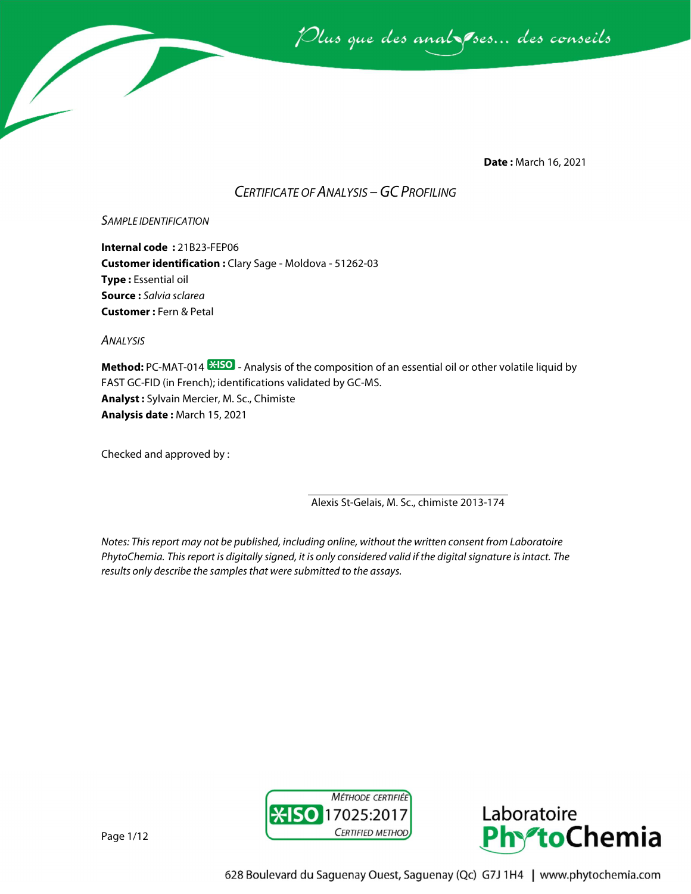

**Date :** March 16, 2021

# *CERTIFICATE OF ANALYSIS –GC PROFILING*

### *SAMPLE IDENTIFICATION*

**Internal code :** 21B23-FEP06 **Customer identification :** Clary Sage - Moldova - 51262-03 **Type :** Essential oil **Source :** *Salvia sclarea* **Customer :** Fern & Petal

*ANALYSIS*

**Method:** PC-MAT-014  $\frac{1250}{12}$  - Analysis of the composition of an essential oil or other volatile liquid by FAST GC-FID (in French); identifications validated by GC-MS. **Analyst :** Sylvain Mercier, M. Sc., Chimiste **Analysis date :** March 15, 2021

Checked and approved by :

Alexis St-Gelais, M. Sc., chimiste 2013-174

*Notes: This report may not be published, including online, without the written consent from Laboratoire PhytoChemia. This report is digitally signed, it is only considered valid if the digital signature is intact. The results only describe the samples that were submitted to the assays.*





Page 1/12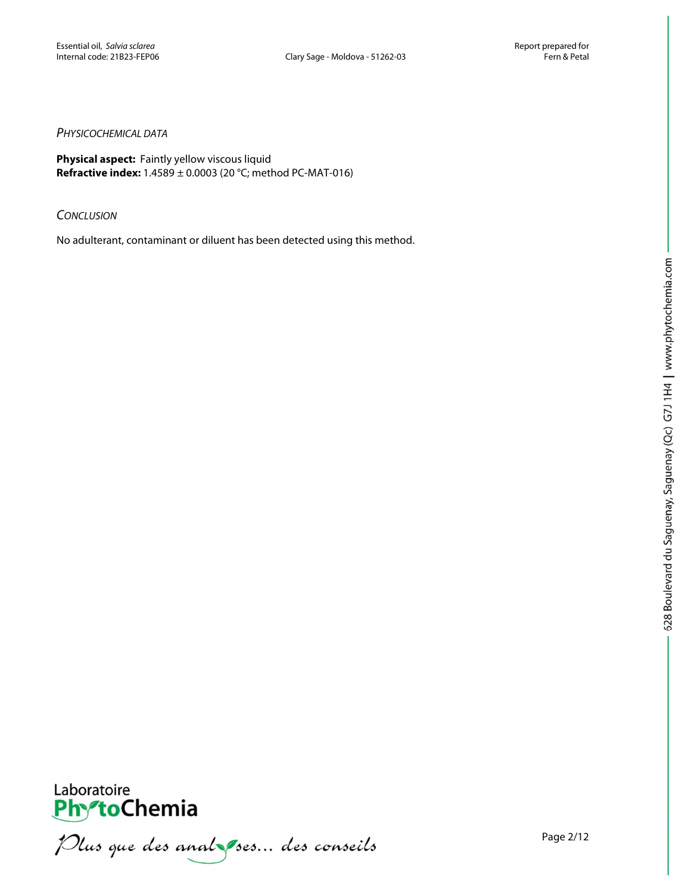#### *PHYSICOCHEMICAL DATA*

**Physical aspect:** Faintly yellow viscous liquid **Refractive index:** 1.4589 ± 0.0003 (20 °C; method PC-MAT-016)

#### *CONCLUSION*

No adulterant, contaminant or diluent has been detected using this method.



Page 2/12



**PhytoChemia**<br>*PhytoChemia*<br>*Plus que des analyses... des conseils*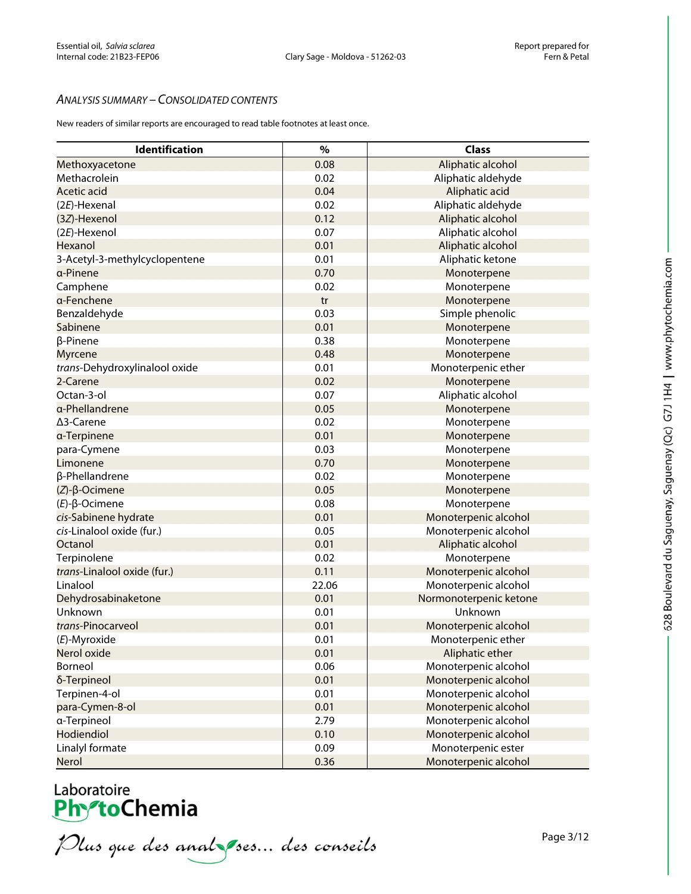## *ANALYSIS SUMMARY – CONSOLIDATED CONTENTS*

New readers of similar reports are encouraged to read table footnotes at least once.

| Identification                | $\%$  | <b>Class</b>           |
|-------------------------------|-------|------------------------|
| Methoxyacetone                | 0.08  | Aliphatic alcohol      |
| Methacrolein                  | 0.02  | Aliphatic aldehyde     |
| <b>Acetic acid</b>            | 0.04  | Aliphatic acid         |
| $(2E)$ -Hexenal               | 0.02  | Aliphatic aldehyde     |
| (3Z)-Hexenol                  | 0.12  | Aliphatic alcohol      |
| (2E)-Hexenol                  | 0.07  | Aliphatic alcohol      |
| Hexanol                       | 0.01  | Aliphatic alcohol      |
| 3-Acetyl-3-methylcyclopentene | 0.01  | Aliphatic ketone       |
| a-Pinene                      | 0.70  | Monoterpene            |
| Camphene                      | 0.02  | Monoterpene            |
| a-Fenchene                    | tr    | Monoterpene            |
| Benzaldehyde                  | 0.03  | Simple phenolic        |
| Sabinene                      | 0.01  | Monoterpene            |
| β-Pinene                      | 0.38  | Monoterpene            |
| Myrcene                       | 0.48  | Monoterpene            |
| trans-Dehydroxylinalool oxide | 0.01  | Monoterpenic ether     |
| 2-Carene                      | 0.02  | Monoterpene            |
| Octan-3-ol                    | 0.07  | Aliphatic alcohol      |
| a-Phellandrene                | 0.05  | Monoterpene            |
| ∆3-Carene                     | 0.02  | Monoterpene            |
| a-Terpinene                   | 0.01  | Monoterpene            |
| para-Cymene                   | 0.03  | Monoterpene            |
| Limonene                      | 0.70  | Monoterpene            |
| β-Phellandrene                | 0.02  | Monoterpene            |
| $(Z)$ - $\beta$ -Ocimene      | 0.05  | Monoterpene            |
| $(E)$ - $\beta$ -Ocimene      | 0.08  | Monoterpene            |
| cis-Sabinene hydrate          | 0.01  | Monoterpenic alcohol   |
| cis-Linalool oxide (fur.)     | 0.05  | Monoterpenic alcohol   |
| Octanol                       | 0.01  | Aliphatic alcohol      |
| Terpinolene                   | 0.02  | Monoterpene            |
| trans-Linalool oxide (fur.)   | 0.11  | Monoterpenic alcohol   |
| Linalool                      | 22.06 | Monoterpenic alcohol   |
| Dehydrosabinaketone           | 0.01  | Normonoterpenic ketone |
| Unknown                       | 0.01  | Unknown                |
| trans-Pinocarveol             | 0.01  | Monoterpenic alcohol   |
| (E)-Myroxide                  | 0.01  | Monoterpenic ether     |
| Nerol oxide                   | 0.01  | Aliphatic ether        |
| Borneol                       | 0.06  | Monoterpenic alcohol   |
| δ-Terpineol                   | 0.01  | Monoterpenic alcohol   |
| Terpinen-4-ol                 | 0.01  | Monoterpenic alcohol   |
| para-Cymen-8-ol               | 0.01  | Monoterpenic alcohol   |
| a-Terpineol                   | 2.79  | Monoterpenic alcohol   |
| Hodiendiol                    | 0.10  | Monoterpenic alcohol   |
| Linalyl formate               | 0.09  | Monoterpenic ester     |
| Nerol                         | 0.36  | Monoterpenic alcohol   |

# Laboratoire<br>**Phy<sup>o</sup>toChemia**

Plus que des analzes... des conseils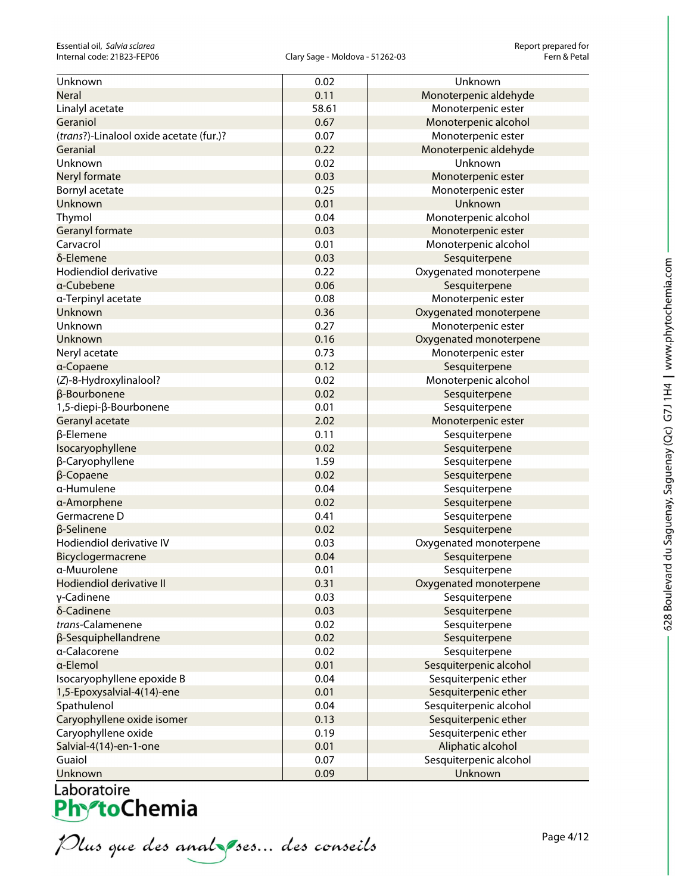| Unknown                                 | 0.02  | Unknown                |
|-----------------------------------------|-------|------------------------|
| <b>Neral</b>                            | 0.11  | Monoterpenic aldehyde  |
| Linalyl acetate                         | 58.61 | Monoterpenic ester     |
| Geraniol                                | 0.67  | Monoterpenic alcohol   |
| (trans?)-Linalool oxide acetate (fur.)? | 0.07  | Monoterpenic ester     |
| Geranial                                | 0.22  | Monoterpenic aldehyde  |
| Unknown                                 | 0.02  | Unknown                |
| Neryl formate                           | 0.03  | Monoterpenic ester     |
| Bornyl acetate                          | 0.25  | Monoterpenic ester     |
| Unknown                                 | 0.01  | Unknown                |
| Thymol                                  | 0.04  | Monoterpenic alcohol   |
| Geranyl formate                         | 0.03  | Monoterpenic ester     |
| Carvacrol                               | 0.01  | Monoterpenic alcohol   |
| δ-Elemene                               | 0.03  | Sesquiterpene          |
| Hodiendiol derivative                   | 0.22  | Oxygenated monoterpene |
| a-Cubebene                              | 0.06  | Sesquiterpene          |
| a-Terpinyl acetate                      | 0.08  | Monoterpenic ester     |
| Unknown                                 | 0.36  | Oxygenated monoterpene |
| Unknown                                 | 0.27  | Monoterpenic ester     |
| Unknown                                 | 0.16  | Oxygenated monoterpene |
| Neryl acetate                           | 0.73  | Monoterpenic ester     |
| a-Copaene                               | 0.12  | Sesquiterpene          |
| (Z)-8-Hydroxylinalool?                  | 0.02  | Monoterpenic alcohol   |
| β-Bourbonene                            | 0.02  | Sesquiterpene          |
| 1,5-diepi-β-Bourbonene                  | 0.01  | Sesquiterpene          |
| Geranyl acetate                         | 2.02  | Monoterpenic ester     |
| β-Elemene                               | 0.11  | Sesquiterpene          |
| Isocaryophyllene                        | 0.02  | Sesquiterpene          |
| β-Caryophyllene                         | 1.59  | Sesquiterpene          |
| $\beta$ -Copaene                        | 0.02  | Sesquiterpene          |
| α-Humulene                              | 0.04  | Sesquiterpene          |
| a-Amorphene                             | 0.02  | Sesquiterpene          |
| Germacrene D                            | 0.41  | Sesquiterpene          |
| β-Selinene                              | 0.02  | Sesquiterpene          |
| Hodiendiol derivative IV                | 0.03  | Oxygenated monoterpene |
| Bicyclogermacrene                       | 0.04  | Sesquiterpene          |
| a-Muurolene                             | 0.01  | Sesquiterpene          |
| Hodiendiol derivative II                | 0.31  | Oxygenated monoterpene |
| γ-Cadinene                              | 0.03  | Sesquiterpene          |
| δ-Cadinene                              | 0.03  | Sesquiterpene          |
| trans-Calamenene                        | 0.02  | Sesquiterpene          |
| β-Sesquiphellandrene                    | 0.02  | Sesquiterpene          |
| a-Calacorene                            | 0.02  | Sesquiterpene          |
| a-Elemol                                | 0.01  | Sesquiterpenic alcohol |
| Isocaryophyllene epoxide B              | 0.04  | Sesquiterpenic ether   |
| 1,5-Epoxysalvial-4(14)-ene              | 0.01  | Sesquiterpenic ether   |
| Spathulenol                             | 0.04  | Sesquiterpenic alcohol |
| Caryophyllene oxide isomer              | 0.13  | Sesquiterpenic ether   |
| Caryophyllene oxide                     | 0.19  | Sesquiterpenic ether   |
| Salvial-4(14)-en-1-one                  | 0.01  | Aliphatic alcohol      |
| Guaiol                                  | 0.07  | Sesquiterpenic alcohol |
| Unknown                                 | 0.09  | Unknown                |

Plus que des analzes... des conseils

Page 4/12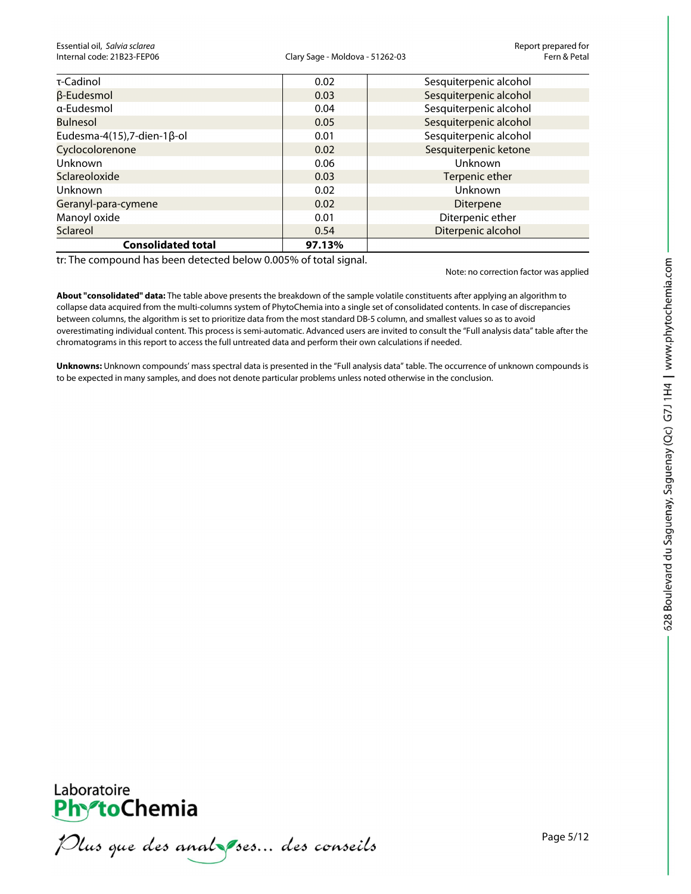Essential oil, *Salvia sclarea* Report prepared for

#### Clary Sage - Moldova - 51262-03

| τ-Cadinol                           | 0.02   | Sesquiterpenic alcohol |
|-------------------------------------|--------|------------------------|
| β-Eudesmol                          | 0.03   | Sesquiterpenic alcohol |
| a-Eudesmol                          | 0.04   | Sesquiterpenic alcohol |
| <b>Bulnesol</b>                     | 0.05   | Sesquiterpenic alcohol |
| Eudesma-4(15), 7-dien-1 $\beta$ -ol | 0.01   | Sesquiterpenic alcohol |
| Cyclocolorenone                     | 0.02   | Sesquiterpenic ketone  |
| Unknown                             | 0.06   | Unknown                |
| Sclareoloxide                       | 0.03   | Terpenic ether         |
| Unknown                             | 0.02   | Unknown                |
| Geranyl-para-cymene                 | 0.02   | <b>Diterpene</b>       |
| Manoyl oxide                        | 0.01   | Diterpenic ether       |
| Sclareol                            | 0.54   | Diterpenic alcohol     |
| <b>Consolidated total</b>           | 97.13% |                        |

tr: The compound has been detected below 0.005% of total signal.

Note: no correction factor was applied

**About "consolidated" data:** The table above presents the breakdown of the sample volatile constituents after applying an algorithm to collapse data acquired from the multi-columns system of PhytoChemia into a single set of consolidated contents. In case of discrepancies between columns, the algorithm is set to prioritize data from the most standard DB-5 column, and smallest values so as to avoid overestimating individual content. This process is semi-automatic. Advanced users are invited to consult the "Full analysis data" table after the chromatograms in this report to access the full untreated data and perform their own calculations if needed.

**Unknowns:** Unknown compounds' mass spectral data is presented in the "Full analysis data" table. The occurrence of unknown compounds is to be expected in many samples, and does not denote particular problems unless noted otherwise in the conclusion.



Plus que des analzes... des conseils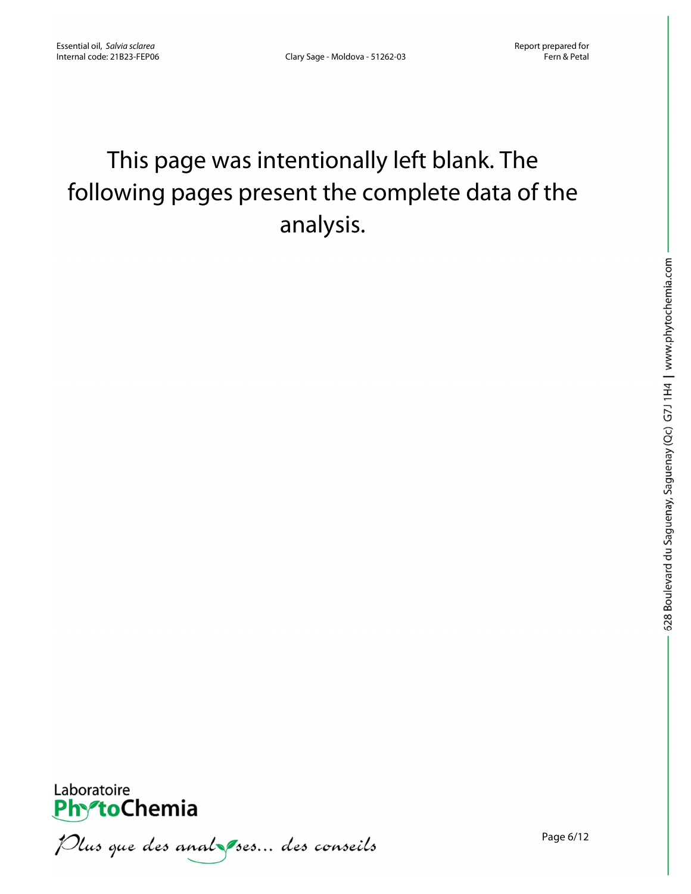# This page was intentionally left blank. The following pages present the complete data of the analysis.



Plus que des analzes... des conseils

Page 6/12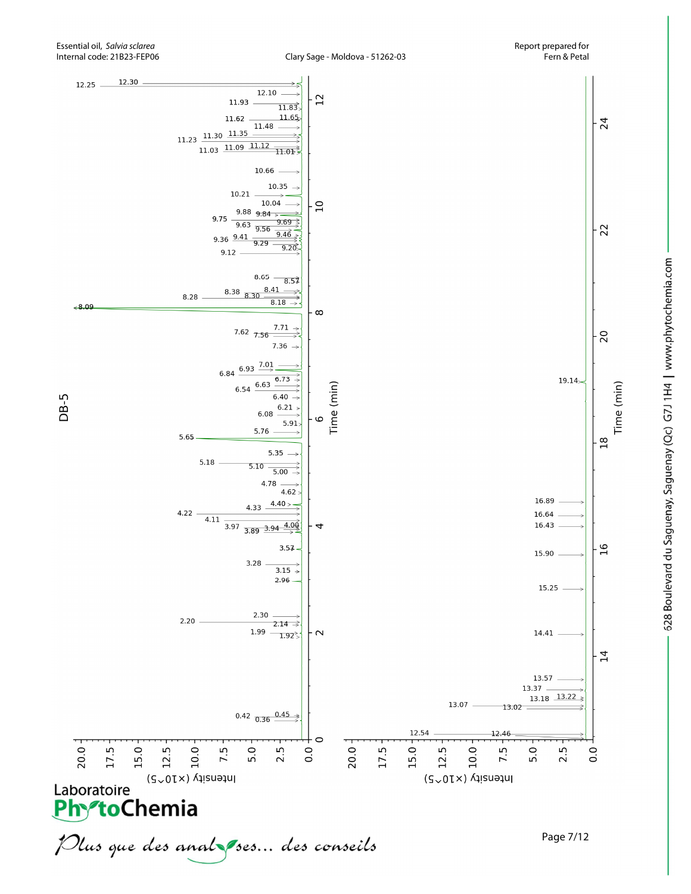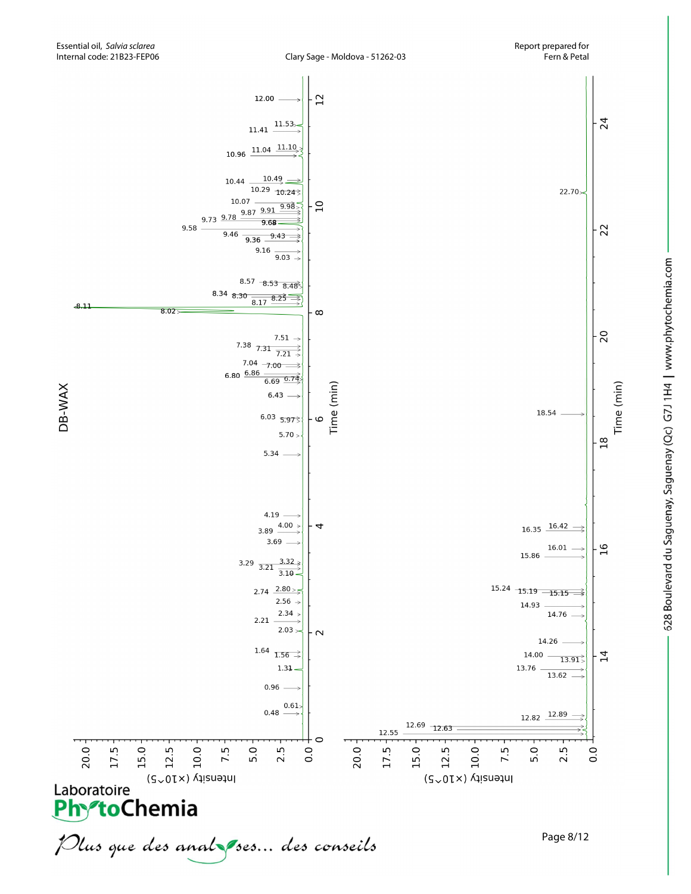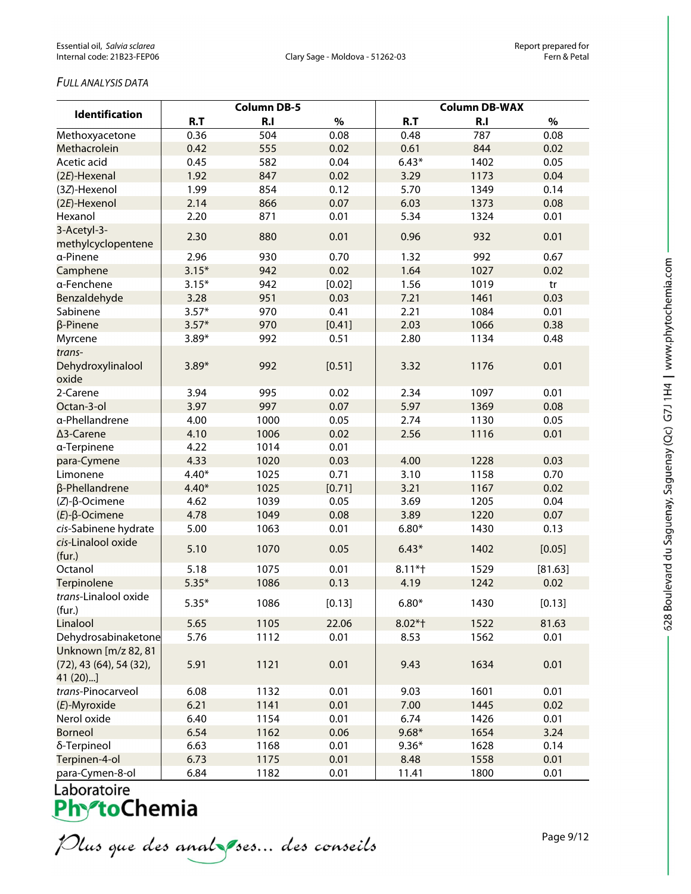### *FULL ANALYSIS DATA*

| <b>Identification</b>                                               | <b>Column DB-5</b> |      |        | <b>Column DB-WAX</b> |      |         |
|---------------------------------------------------------------------|--------------------|------|--------|----------------------|------|---------|
|                                                                     | R.T                | R.I  | $\%$   | R.T                  | R.I  | $\%$    |
| Methoxyacetone                                                      | 0.36               | 504  | 0.08   | 0.48                 | 787  | 0.08    |
| Methacrolein                                                        | 0.42               | 555  | 0.02   | 0.61                 | 844  | 0.02    |
| Acetic acid                                                         | 0.45               | 582  | 0.04   | $6.43*$              | 1402 | 0.05    |
| (2E)-Hexenal                                                        | 1.92               | 847  | 0.02   | 3.29                 | 1173 | 0.04    |
| (3Z)-Hexenol                                                        | 1.99               | 854  | 0.12   | 5.70                 | 1349 | 0.14    |
| (2E)-Hexenol                                                        | 2.14               | 866  | 0.07   | 6.03                 | 1373 | 0.08    |
| Hexanol                                                             | 2.20               | 871  | 0.01   | 5.34                 | 1324 | 0.01    |
| 3-Acetyl-3-                                                         | 2.30               | 880  | 0.01   | 0.96                 | 932  | 0.01    |
| methylcyclopentene<br>a-Pinene                                      | 2.96               | 930  | 0.70   | 1.32                 | 992  | 0.67    |
|                                                                     | $3.15*$            | 942  | 0.02   | 1.64                 | 1027 | 0.02    |
| Camphene<br>a-Fenchene                                              | $3.15*$            | 942  | [0.02] | 1.56                 | 1019 | tr      |
| Benzaldehyde                                                        | 3.28               | 951  | 0.03   | 7.21                 | 1461 | 0.03    |
| Sabinene                                                            | $3.57*$            | 970  | 0.41   | 2.21                 | 1084 | 0.01    |
| β-Pinene                                                            | $3.57*$            | 970  | [0.41] | 2.03                 | 1066 | 0.38    |
|                                                                     | $3.89*$            | 992  | 0.51   | 2.80                 | 1134 | 0.48    |
| Myrcene<br>trans-                                                   |                    |      |        |                      |      |         |
| Dehydroxylinalool<br>oxide                                          | $3.89*$            | 992  | [0.51] | 3.32                 | 1176 | 0.01    |
| 2-Carene                                                            | 3.94               | 995  | 0.02   | 2.34                 | 1097 | 0.01    |
| Octan-3-ol                                                          | 3.97               | 997  | 0.07   | 5.97                 | 1369 | 0.08    |
| a-Phellandrene                                                      | 4.00               | 1000 | 0.05   | 2.74                 | 1130 | 0.05    |
| ∆3-Carene                                                           | 4.10               | 1006 | 0.02   | 2.56                 | 1116 | 0.01    |
| a-Terpinene                                                         | 4.22               | 1014 | 0.01   |                      |      |         |
| para-Cymene                                                         | 4.33               | 1020 | 0.03   | 4.00                 | 1228 | 0.03    |
| Limonene                                                            | $4.40*$            | 1025 | 0.71   | 3.10                 | 1158 | 0.70    |
| β-Phellandrene                                                      | $4.40*$            | 1025 | [0.71] | 3.21                 | 1167 | 0.02    |
| $(Z)-\beta$ -Ocimene                                                | 4.62               | 1039 | 0.05   | 3.69                 | 1205 | 0.04    |
| $(E)$ -β-Ocimene                                                    | 4.78               | 1049 | 0.08   | 3.89                 | 1220 | 0.07    |
| cis-Sabinene hydrate                                                | 5.00               | 1063 | 0.01   | $6.80*$              | 1430 | 0.13    |
| cis-Linalool oxide<br>(fur.)                                        | 5.10               | 1070 | 0.05   | $6.43*$              | 1402 | [0.05]  |
| Octanol                                                             | 5.18               | 1075 | 0.01   | $8.11*$              | 1529 | [81.63] |
| Terpinolene                                                         | $5.35*$            | 1086 | 0.13   | 4.19                 | 1242 | 0.02    |
| trans-Linalool oxide                                                |                    |      |        |                      |      |         |
| (fur.)                                                              | $5.35*$            | 1086 | [0.13] | $6.80*$              | 1430 | [0.13]  |
| Linalool                                                            | 5.65               | 1105 | 22.06  | $8.02*$ †            | 1522 | 81.63   |
| Dehydrosabinaketone                                                 | 5.76               | 1112 | 0.01   | 8.53                 | 1562 | 0.01    |
| Unknown [m/z 82, 81<br>$(72)$ , 43 $(64)$ , 54 $(32)$ ,<br>41 (20)] | 5.91               | 1121 | 0.01   | 9.43                 | 1634 | 0.01    |
| trans-Pinocarveol                                                   | 6.08               | 1132 | 0.01   | 9.03                 | 1601 | 0.01    |
| (E)-Myroxide                                                        | 6.21               | 1141 | 0.01   | 7.00                 | 1445 | 0.02    |
| Nerol oxide                                                         | 6.40               | 1154 | 0.01   | 6.74                 | 1426 | 0.01    |
| <b>Borneol</b>                                                      | 6.54               | 1162 | 0.06   | $9.68*$              | 1654 | 3.24    |
| δ-Terpineol                                                         | 6.63               | 1168 | 0.01   | $9.36*$              | 1628 | 0.14    |
| Terpinen-4-ol                                                       | 6.73               | 1175 | 0.01   | 8.48                 | 1558 | 0.01    |
| para-Cymen-8-ol                                                     | 6.84               | 1182 | 0.01   | 11.41                | 1800 | 0.01    |

Plus que des analzes... des conseils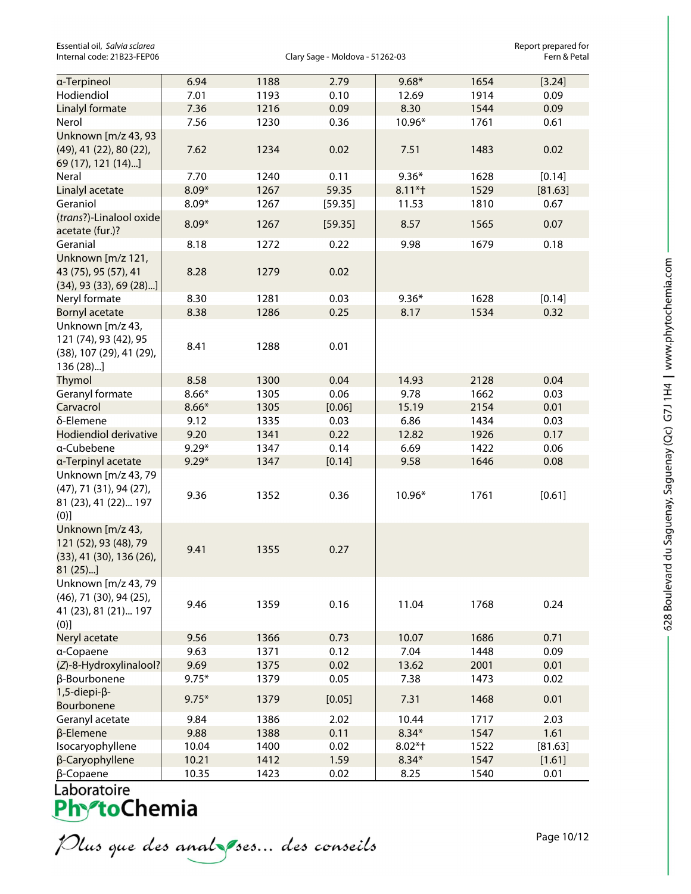Essential oil, *Salvia sclarea* Chromosov Clary Sage - Moldova - 51262-03<br>Internal code: 21B23-FEP06 **Report propared for Clary Sage - Moldova** - 51262-03

Clary Sage - Moldova - 51262-03

| a-Terpineol                                                                                  | 6.94    | 1188 | 2.79    | $9.68*$   | 1654 | [3.24]  |
|----------------------------------------------------------------------------------------------|---------|------|---------|-----------|------|---------|
| Hodiendiol                                                                                   | 7.01    | 1193 | 0.10    | 12.69     | 1914 | 0.09    |
| Linalyl formate                                                                              | 7.36    | 1216 | 0.09    | 8.30      | 1544 | 0.09    |
| Nerol                                                                                        | 7.56    | 1230 | 0.36    | 10.96*    | 1761 | 0.61    |
| Unknown [m/z 43, 93<br>(49), 41 (22), 80 (22),<br>69 (17), 121 (14)]                         | 7.62    | 1234 | 0.02    | 7.51      | 1483 | 0.02    |
| Neral                                                                                        | 7.70    | 1240 | 0.11    | $9.36*$   | 1628 | [0.14]  |
| Linalyl acetate                                                                              | $8.09*$ | 1267 | 59.35   | $8.11*$   | 1529 | [81.63] |
| Geraniol                                                                                     | $8.09*$ | 1267 | [59.35] | 11.53     | 1810 | 0.67    |
| (trans?)-Linalool oxide<br>acetate (fur.)?                                                   | $8.09*$ | 1267 | [59.35] | 8.57      | 1565 | 0.07    |
| Geranial                                                                                     | 8.18    | 1272 | 0.22    | 9.98      | 1679 | 0.18    |
| Unknown [m/z 121,<br>43 (75), 95 (57), 41<br>$(34)$ , 93 $(33)$ , 69 $(28)$ ]                | 8.28    | 1279 | 0.02    |           |      |         |
| Neryl formate                                                                                | 8.30    | 1281 | 0.03    | $9.36*$   | 1628 | [0.14]  |
| <b>Bornyl acetate</b>                                                                        | 8.38    | 1286 | 0.25    | 8.17      | 1534 | 0.32    |
| Unknown [m/z 43,<br>121 (74), 93 (42), 95<br>(38), 107 (29), 41 (29),<br>136 (28)]           | 8.41    | 1288 | 0.01    |           |      |         |
| <b>Thymol</b>                                                                                | 8.58    | 1300 | 0.04    | 14.93     | 2128 | 0.04    |
| Geranyl formate                                                                              | $8.66*$ | 1305 | 0.06    | 9.78      | 1662 | 0.03    |
| Carvacrol                                                                                    | $8.66*$ | 1305 | [0.06]  | 15.19     | 2154 | 0.01    |
| δ-Elemene                                                                                    | 9.12    | 1335 | 0.03    | 6.86      | 1434 | 0.03    |
| Hodiendiol derivative                                                                        | 9.20    | 1341 | 0.22    | 12.82     | 1926 | 0.17    |
| a-Cubebene                                                                                   | $9.29*$ | 1347 | 0.14    | 6.69      | 1422 | 0.06    |
| a-Terpinyl acetate                                                                           | $9.29*$ | 1347 | [0.14]  | 9.58      | 1646 | 0.08    |
| Unknown [m/z 43, 79<br>(47), 71 (31), 94 (27),<br>81 (23), 41 (22) 197<br>(0)]               | 9.36    | 1352 | 0.36    | 10.96*    | 1761 | [0.61]  |
| Unknown [m/z 43,<br>121 (52), 93 (48), 79<br>$(33)$ , 41 $(30)$ , 136 $(26)$ ,<br>$81(25)$ ] | 9.41    | 1355 | 0.27    |           |      |         |
| Unknown [m/z 43, 79<br>(46), 71 (30), 94 (25),<br>41 (23), 81 (21) 197<br>(0)]               | 9.46    | 1359 | 0.16    | 11.04     | 1768 | 0.24    |
| Neryl acetate                                                                                | 9.56    | 1366 | 0.73    | 10.07     | 1686 | 0.71    |
| a-Copaene                                                                                    | 9.63    | 1371 | 0.12    | 7.04      | 1448 | 0.09    |
| (Z)-8-Hydroxylinalool?                                                                       | 9.69    | 1375 | 0.02    | 13.62     | 2001 | 0.01    |
| β-Bourbonene                                                                                 | $9.75*$ | 1379 | 0.05    | 7.38      | 1473 | 0.02    |
| $1,5$ -diepi- $\beta$ -<br>Bourbonene                                                        | $9.75*$ | 1379 | [0.05]  | 7.31      | 1468 | 0.01    |
| Geranyl acetate                                                                              | 9.84    | 1386 | 2.02    | 10.44     | 1717 | 2.03    |
| $\beta$ -Elemene                                                                             | 9.88    | 1388 | 0.11    | $8.34*$   | 1547 | 1.61    |
| Isocaryophyllene                                                                             | 10.04   | 1400 | 0.02    | $8.02*$ † | 1522 | [81.63] |
| β-Caryophyllene                                                                              | 10.21   | 1412 | 1.59    | $8.34*$   | 1547 | [1.61]  |
| $\beta$ -Copaene                                                                             | 10.35   | 1423 | 0.02    | 8.25      | 1540 | 0.01    |

Plus que des analzes... des conseils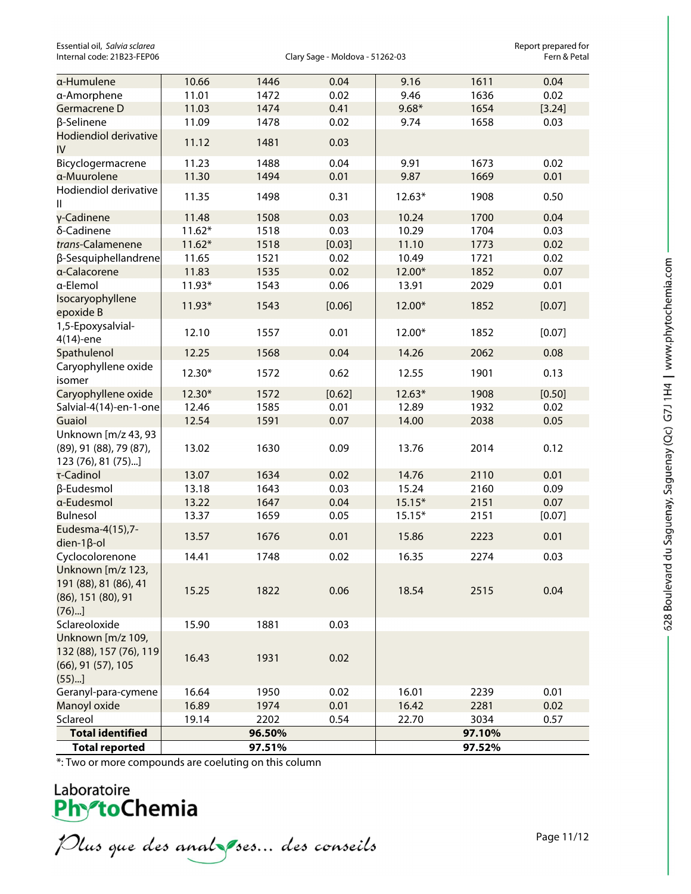Essential oil, *Salvia sclarea* Chromosov Clary Sage - Moldova - 51262-03<br>Internal code: 21B23-FEP06 **Report propared for Clary Sage - Moldova** - 51262-03

Clary Sage - Moldova - 51262-03

Page 11/12

628 Boulevard du Saguenay, Saguenay (Qc) G7J 1H4 | www.phytochemia.com

| a-Humulene                                                                           | 10.66    | 1446   | 0.04   | 9.16     | 1611   | 0.04   |
|--------------------------------------------------------------------------------------|----------|--------|--------|----------|--------|--------|
| a-Amorphene                                                                          | 11.01    | 1472   | 0.02   | 9.46     | 1636   | 0.02   |
| Germacrene D                                                                         | 11.03    | 1474   | 0.41   | $9.68*$  | 1654   | [3.24] |
| β-Selinene                                                                           | 11.09    | 1478   | 0.02   | 9.74     | 1658   | 0.03   |
| Hodiendiol derivative<br>IV                                                          | 11.12    | 1481   | 0.03   |          |        |        |
| Bicyclogermacrene                                                                    | 11.23    | 1488   | 0.04   | 9.91     | 1673   | 0.02   |
| a-Muurolene                                                                          | 11.30    | 1494   | 0.01   | 9.87     | 1669   | 0.01   |
| Hodiendiol derivative<br>Ш                                                           | 11.35    | 1498   | 0.31   | $12.63*$ | 1908   | 0.50   |
| γ-Cadinene                                                                           | 11.48    | 1508   | 0.03   | 10.24    | 1700   | 0.04   |
| δ-Cadinene                                                                           | $11.62*$ | 1518   | 0.03   | 10.29    | 1704   | 0.03   |
| trans-Calamenene                                                                     | $11.62*$ | 1518   | [0.03] | 11.10    | 1773   | 0.02   |
| β-Sesquiphellandrene                                                                 | 11.65    | 1521   | 0.02   | 10.49    | 1721   | 0.02   |
| a-Calacorene                                                                         | 11.83    | 1535   | 0.02   | 12.00*   | 1852   | 0.07   |
| a-Elemol                                                                             | $11.93*$ | 1543   | 0.06   | 13.91    | 2029   | 0.01   |
| Isocaryophyllene<br>epoxide B                                                        | $11.93*$ | 1543   | [0.06] | 12.00*   | 1852   | [0.07] |
| 1,5-Epoxysalvial-<br>4(14)-ene                                                       | 12.10    | 1557   | 0.01   | 12.00*   | 1852   | [0.07] |
| Spathulenol                                                                          | 12.25    | 1568   | 0.04   | 14.26    | 2062   | 0.08   |
| Caryophyllene oxide<br>isomer                                                        | 12.30*   | 1572   | 0.62   | 12.55    | 1901   | 0.13   |
| Caryophyllene oxide                                                                  | 12.30*   | 1572   | [0.62] | $12.63*$ | 1908   | [0.50] |
| Salvial-4(14)-en-1-one                                                               | 12.46    | 1585   | 0.01   | 12.89    | 1932   | 0.02   |
| Guaiol                                                                               | 12.54    | 1591   | 0.07   | 14.00    | 2038   | 0.05   |
| Unknown [m/z 43, 93<br>(89), 91 (88), 79 (87),<br>123 (76), 81 (75)]                 | 13.02    | 1630   | 0.09   | 13.76    | 2014   | 0.12   |
| τ-Cadinol                                                                            | 13.07    | 1634   | 0.02   | 14.76    | 2110   | 0.01   |
| β-Eudesmol                                                                           | 13.18    | 1643   | 0.03   | 15.24    | 2160   | 0.09   |
| a-Eudesmol                                                                           | 13.22    | 1647   | 0.04   | $15.15*$ | 2151   | 0.07   |
| Bulnesol                                                                             | 13.37    | 1659   | 0.05   | $15.15*$ | 2151   | [0.07] |
| Eudesma-4(15),7-<br>$dien-1\beta$ -ol                                                | 13.57    | 1676   | 0.01   | 15.86    | 2223   | 0.01   |
| Cyclocolorenone                                                                      | 14.41    | 1748   | 0.02   | 16.35    | 2274   | 0.03   |
| Unknown [m/z 123,<br>191 (88), 81 (86), 41<br>(86), 151 (80), 91<br>(76)             | 15.25    | 1822   | 0.06   | 18.54    | 2515   | 0.04   |
| Sclareoloxide                                                                        | 15.90    | 1881   | 0.03   |          |        |        |
| Unknown [m/z 109,<br>132 (88), 157 (76), 119<br>$(66)$ , 91 $(57)$ , 105<br>$(55)$ ] | 16.43    | 1931   | 0.02   |          |        |        |
| Geranyl-para-cymene                                                                  | 16.64    | 1950   | 0.02   | 16.01    | 2239   | 0.01   |
| Manoyl oxide                                                                         | 16.89    | 1974   | 0.01   | 16.42    | 2281   | 0.02   |
| Sclareol                                                                             | 19.14    | 2202   | 0.54   | 22.70    | 3034   | 0.57   |
| <b>Total identified</b>                                                              |          | 96.50% |        |          | 97.10% |        |
| <b>Total reported</b>                                                                |          | 97.51% |        |          | 97.52% |        |

\*: Two or more compounds are coeluting on this column

Plus que des analzes... des conseils

Laboratoire<br>**Phy<sup>o</sup>toChemia**